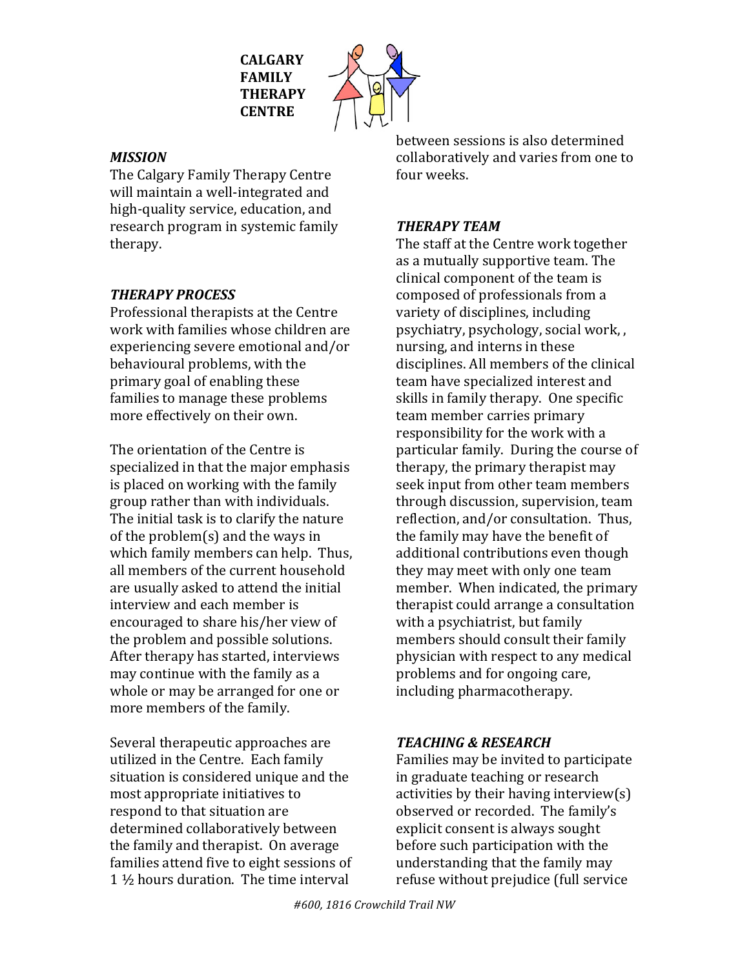**CALGARY FAMILY THERAPY CENTRE**



### *MISSION*

The Calgary Family Therapy Centre will maintain a well-integrated and high-quality service, education, and research program in systemic family therapy.

# *THERAPY PROCESS*

Professional therapists at the Centre work with families whose children are experiencing severe emotional and/or behavioural problems, with the primary goal of enabling these families to manage these problems more effectively on their own.

The orientation of the Centre is specialized in that the major emphasis is placed on working with the family group rather than with individuals. The initial task is to clarify the nature of the problem(s) and the ways in which family members can help. Thus, all members of the current household are usually asked to attend the initial interview and each member is encouraged to share his/her view of the problem and possible solutions. After therapy has started, interviews may continue with the family as a whole or may be arranged for one or more members of the family.

Several therapeutic approaches are utilized in the Centre. Each family situation is considered unique and the most appropriate initiatives to respond to that situation are determined collaboratively between the family and therapist. On average families attend five to eight sessions of 1  $\frac{1}{2}$  hours duration. The time interval

between sessions is also determined collaboratively and varies from one to four weeks.

### *THERAPY TEAM*

The staff at the Centre work together as a mutually supportive team. The clinical component of the team is composed of professionals from a variety of disciplines, including psychiatry, psychology, social work, nursing, and interns in these disciplines. All members of the clinical team have specialized interest and skills in family therapy. One specific team member carries primary responsibility for the work with a particular family. During the course of therapy, the primary therapist may seek input from other team members through discussion, supervision, team reflection, and/or consultation. Thus, the family may have the benefit of additional contributions even though they may meet with only one team member. When indicated, the primary therapist could arrange a consultation with a psychiatrist, but family members should consult their family physician with respect to any medical problems and for ongoing care, including pharmacotherapy.

## *TEACHING & RESEARCH*

Families may be invited to participate in graduate teaching or research activities by their having interview(s) observed or recorded. The family's explicit consent is always sought before such participation with the understanding that the family may refuse without prejudice (full service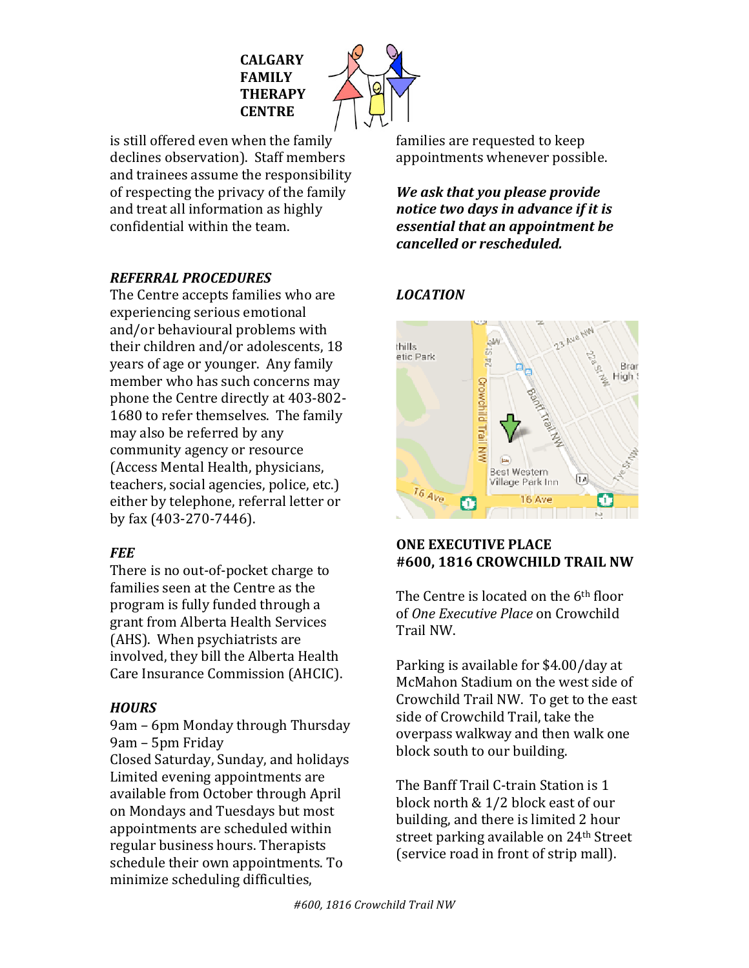

is still offered even when the family declines observation). Staff members and trainees assume the responsibility of respecting the privacy of the family and treat all information as highly confidential within the team.

#### *REFERRAL PROCEDURES*

The Centre accepts families who are experiencing serious emotional and/or behavioural problems with their children and/or adolescents, 18 years of age or younger. Any family member who has such concerns may phone the Centre directly at 403-802-1680 to refer themselves. The family may also be referred by any community agency or resource (Access Mental Health, physicians, teachers, social agencies, police, etc.) either by telephone, referral letter or by fax (403-270-7446).

#### *FEE*

There is no out-of-pocket charge to families seen at the Centre as the program is fully funded through a grant from Alberta Health Services (AHS). When psychiatrists are involved, they bill the Alberta Health Care Insurance Commission (AHCIC).

#### *HOURS*

9am - 6pm Monday through Thursday 9am – 5pm Friday

Closed Saturday, Sunday, and holidays Limited evening appointments are available from October through April on Mondays and Tuesdays but most appointments are scheduled within regular business hours. Therapists schedule their own appointments. To minimize scheduling difficulties,

families are requested to keep appointments whenever possible.

*We ask that you please provide notice two days in advance if it is essential that an appointment be cancelled or rescheduled.*

#### *LOCATION*



#### **ONE EXECUTIVE PLACE #600, 1816 CROWCHILD TRAIL NW**

The Centre is located on the  $6<sup>th</sup>$  floor of *One Executive Place* on Crowchild Trail NW.

Parking is available for \$4.00/day at McMahon Stadium on the west side of Crowchild Trail NW. To get to the east side of Crowchild Trail, take the overpass walkway and then walk one block south to our building.

The Banff Trail C-train Station is 1 block north & 1/2 block east of our building, and there is limited 2 hour street parking available on 24<sup>th</sup> Street (service road in front of strip mall).